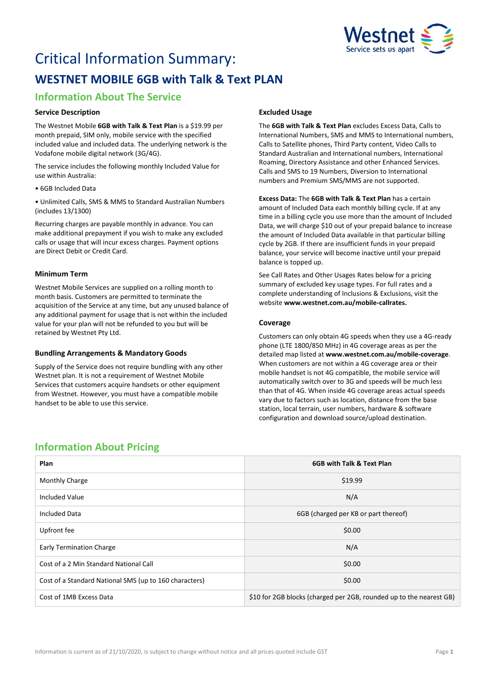

# Critical Information Summary: **WESTNET MOBILE 6GB with Talk & Text PLAN**

# **Information About The Service**

### **Service Description**

The Westnet Mobile **6GB with Talk & Text Plan** is a \$19.99 per month prepaid, SIM only, mobile service with the specified included value and included data. The underlying network is the Vodafone mobile digital network (3G/4G).

The service includes the following monthly Included Value for use within Australia:

• 6GB Included Data

• Unlimited Calls, SMS & MMS to Standard Australian Numbers (includes 13/1300)

Recurring charges are payable monthly in advance. You can make additional prepayment if you wish to make any excluded calls or usage that will incur excess charges. Payment options are Direct Debit or Credit Card.

# **Minimum Term**

Westnet Mobile Services are supplied on a rolling month to month basis. Customers are permitted to terminate the acquisition of the Service at any time, but any unused balance of any additional payment for usage that is not within the included value for your plan will not be refunded to you but will be retained by Westnet Pty Ltd.

### **Bundling Arrangements & Mandatory Goods**

Supply of the Service does not require bundling with any other Westnet plan. It is not a requirement of Westnet Mobile Services that customers acquire handsets or other equipment from Westnet. However, you must have a compatible mobile handset to be able to use this service.

# **Excluded Usage**

The **6GB with Talk & Text Plan** excludes Excess Data, Calls to International Numbers, SMS and MMS to International numbers, Calls to Satellite phones, Third Party content, Video Calls to Standard Australian and International numbers, International Roaming, Directory Assistance and other Enhanced Services. Calls and SMS to 19 Numbers, Diversion to International numbers and Premium SMS/MMS are not supported.

**Excess Data:** The **6GB with Talk & Text Plan** has a certain amount of Included Data each monthly billing cycle. If at any time in a billing cycle you use more than the amount of Included Data, we will charge \$10 out of your prepaid balance to increase the amount of Included Data available in that particular billing cycle by 2GB. If there are insufficient funds in your prepaid balance, your service will become inactive until your prepaid balance is topped up.

See Call Rates and Other Usages Rates below for a pricing summary of excluded key usage types. For full rates and a complete understanding of Inclusions & Exclusions, visit the website **[www.westnet.com.au/mobile-callrates.](http://www.westnet.com.au/mobile-callrates)**

# **Coverage**

Customers can only obtain 4G speeds when they use a 4G-ready phone (LTE 1800/850 MHz) in 4G coverage areas as per the detailed map listed at **[www.westnet.com.au/mobile-coverage](https://www.westnet.com.au/mobile-coverage)**. When customers are not within a 4G coverage area or their mobile handset is not 4G compatible, the mobile service will automatically switch over to 3G and speeds will be much less than that of 4G. When inside 4G coverage areas actual speeds vary due to factors such as location, distance from the base station, local terrain, user numbers, hardware & software configuration and download source/upload destination.

# **Information About Pricing**

| Plan                                                   | 6GB with Talk & Text Plan                                           |
|--------------------------------------------------------|---------------------------------------------------------------------|
| Monthly Charge                                         | \$19.99                                                             |
| <b>Included Value</b>                                  | N/A                                                                 |
| <b>Included Data</b>                                   | 6GB (charged per KB or part thereof)                                |
| Upfront fee                                            | \$0.00                                                              |
| <b>Early Termination Charge</b>                        | N/A                                                                 |
| Cost of a 2 Min Standard National Call                 | \$0.00                                                              |
| Cost of a Standard National SMS (up to 160 characters) | \$0.00                                                              |
| Cost of 1MB Excess Data                                | \$10 for 2GB blocks (charged per 2GB, rounded up to the nearest GB) |